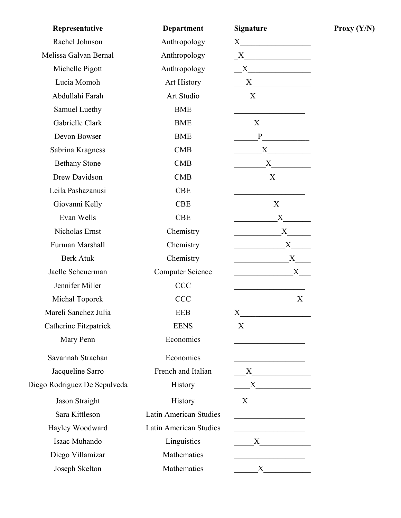| Representative               | <b>Department</b>       | <b>Signature</b>                                                                                                                                                                                                              |
|------------------------------|-------------------------|-------------------------------------------------------------------------------------------------------------------------------------------------------------------------------------------------------------------------------|
| Rachel Johnson               | Anthropology            | $X \sim$                                                                                                                                                                                                                      |
| Melissa Galvan Bernal        | Anthropology            | $X$ and $X$ and $X$ and $X$ and $X$ and $X$ and $X$ and $X$ and $X$ and $X$ and $X$ and $X$ and $X$ and $X$ and $X$ and $X$ and $X$ and $X$ and $X$ and $X$ and $X$ and $X$ and $X$ and $X$ and $X$ and $X$ and $X$ and $X$ a |
| Michelle Pigott              | Anthropology            | X                                                                                                                                                                                                                             |
| Lucia Momoh                  | Art History             | $\mathbf{X}$                                                                                                                                                                                                                  |
| Abdullahi Farah              | Art Studio              | $X \fbox{$                                                                                                                                                                                                                    |
| Samuel Luethy                | <b>BME</b>              |                                                                                                                                                                                                                               |
| Gabrielle Clark              | <b>BME</b>              | $X \quad \underline{\qquad}$                                                                                                                                                                                                  |
| Devon Bowser                 | <b>BME</b>              | $P \qquad \qquad$                                                                                                                                                                                                             |
| Sabrina Kragness             | CMB                     | $X$ and $X$                                                                                                                                                                                                                   |
| <b>Bethany Stone</b>         | <b>CMB</b>              |                                                                                                                                                                                                                               |
| Drew Davidson                | <b>CMB</b>              | X                                                                                                                                                                                                                             |
| Leila Pashazanusi            | <b>CBE</b>              |                                                                                                                                                                                                                               |
| Giovanni Kelly               | <b>CBE</b>              | X                                                                                                                                                                                                                             |
| Evan Wells                   | <b>CBE</b>              | $X_{-}$                                                                                                                                                                                                                       |
| Nicholas Ernst               | Chemistry               | X                                                                                                                                                                                                                             |
| Furman Marshall              | Chemistry               | X                                                                                                                                                                                                                             |
| <b>Berk Atuk</b>             | Chemistry               | X                                                                                                                                                                                                                             |
| Jaelle Scheuerman            | <b>Computer Science</b> | X                                                                                                                                                                                                                             |
| Jennifer Miller              | <b>CCC</b>              |                                                                                                                                                                                                                               |
| Michal Toporek               | <b>CCC</b>              | X                                                                                                                                                                                                                             |
| Mareli Sanchez Julia         | <b>EEB</b>              | X                                                                                                                                                                                                                             |
| Catherine Fitzpatrick        | <b>EENS</b>             | $\boldsymbol{X}$                                                                                                                                                                                                              |
| Mary Penn                    | Economics               | <u> 1990 - Johann Barbara, martin a</u>                                                                                                                                                                                       |
| Savannah Strachan            | Economics               | <u> 1989 - Johann Barbara, martin a</u>                                                                                                                                                                                       |
| Jacqueline Sarro             | French and Italian      | $X$ and $X$ and $X$ and $X$ and $X$ and $X$ and $X$ and $X$ and $X$ and $X$ and $X$ and $X$ and $X$ and $X$ and $X$ and $X$ and $X$ and $X$ and $X$ and $X$ and $X$ and $X$ and $X$ and $X$ and $X$ and $X$ and $X$ and $X$ a |
| Diego Rodriguez De Sepulveda | History                 | X                                                                                                                                                                                                                             |
| Jason Straight               | History                 |                                                                                                                                                                                                                               |
| Sara Kittleson               | Latin American Studies  |                                                                                                                                                                                                                               |
| Hayley Woodward              | Latin American Studies  |                                                                                                                                                                                                                               |
| Isaac Muhando                | Linguistics             | $X \frown$                                                                                                                                                                                                                    |
| Diego Villamizar             | Mathematics             |                                                                                                                                                                                                                               |
| Joseph Skelton               | Mathematics             | $X \sim$                                                                                                                                                                                                                      |

 $Proxy (Y/N)$